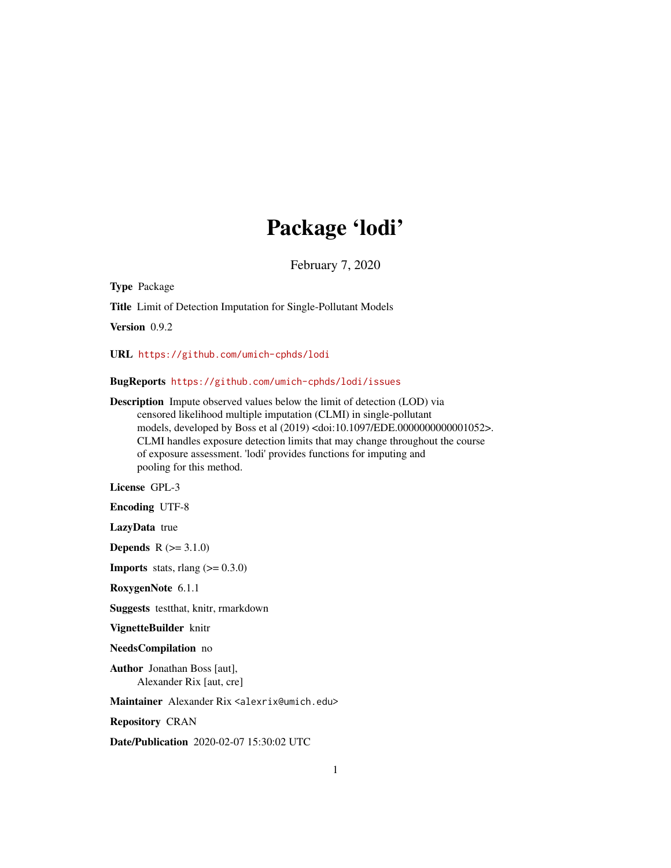## Package 'lodi'

February 7, 2020

Type Package

Title Limit of Detection Imputation for Single-Pollutant Models

Version 0.9.2

URL <https://github.com/umich-cphds/lodi>

BugReports <https://github.com/umich-cphds/lodi/issues>

Description Impute observed values below the limit of detection (LOD) via censored likelihood multiple imputation (CLMI) in single-pollutant models, developed by Boss et al (2019) <doi:10.1097/EDE.0000000000001052>. CLMI handles exposure detection limits that may change throughout the course of exposure assessment. 'lodi' provides functions for imputing and pooling for this method.

License GPL-3

Encoding UTF-8

LazyData true

**Depends**  $R (= 3.1.0)$ 

**Imports** stats, rlang  $(>= 0.3.0)$ 

RoxygenNote 6.1.1

Suggests testthat, knitr, rmarkdown

VignetteBuilder knitr

NeedsCompilation no

Author Jonathan Boss [aut], Alexander Rix [aut, cre]

Maintainer Alexander Rix <alexrix@umich.edu>

Repository CRAN

Date/Publication 2020-02-07 15:30:02 UTC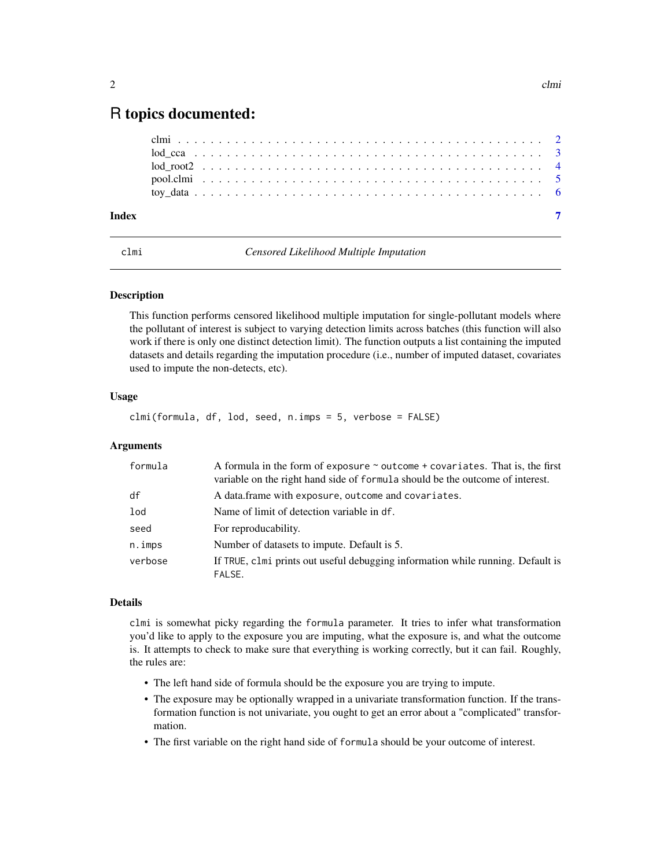### <span id="page-1-0"></span>R topics documented:

| Index |  |  |  |  |  |  |  |  |  |  |  |  |  |  |  |  |  |  |  |  |  |  |
|-------|--|--|--|--|--|--|--|--|--|--|--|--|--|--|--|--|--|--|--|--|--|--|
|       |  |  |  |  |  |  |  |  |  |  |  |  |  |  |  |  |  |  |  |  |  |  |
|       |  |  |  |  |  |  |  |  |  |  |  |  |  |  |  |  |  |  |  |  |  |  |
|       |  |  |  |  |  |  |  |  |  |  |  |  |  |  |  |  |  |  |  |  |  |  |
|       |  |  |  |  |  |  |  |  |  |  |  |  |  |  |  |  |  |  |  |  |  |  |
|       |  |  |  |  |  |  |  |  |  |  |  |  |  |  |  |  |  |  |  |  |  |  |

clmi *Censored Likelihood Multiple Imputation*

#### **Description**

This function performs censored likelihood multiple imputation for single-pollutant models where the pollutant of interest is subject to varying detection limits across batches (this function will also work if there is only one distinct detection limit). The function outputs a list containing the imputed datasets and details regarding the imputation procedure (i.e., number of imputed dataset, covariates used to impute the non-detects, etc).

#### Usage

clmi(formula, df, lod, seed, n.imps = 5, verbose = FALSE)

#### Arguments

| formula   | A formula in the form of exposure $\sim$ outcome + covariates. That is, the first<br>variable on the right hand side of formula should be the outcome of interest. |
|-----------|--------------------------------------------------------------------------------------------------------------------------------------------------------------------|
| df        | A data.frame with exposure, outcome and covariates.                                                                                                                |
| 1od       | Name of limit of detection variable in df.                                                                                                                         |
| seed      | For reproducability.                                                                                                                                               |
| $n.$ imps | Number of datasets to impute. Default is 5.                                                                                                                        |
| verbose   | If TRUE, clmi prints out useful debugging information while running. Default is<br>FALSE.                                                                          |

#### Details

clmi is somewhat picky regarding the formula parameter. It tries to infer what transformation you'd like to apply to the exposure you are imputing, what the exposure is, and what the outcome is. It attempts to check to make sure that everything is working correctly, but it can fail. Roughly, the rules are:

- The left hand side of formula should be the exposure you are trying to impute.
- The exposure may be optionally wrapped in a univariate transformation function. If the transformation function is not univariate, you ought to get an error about a "complicated" transformation.
- The first variable on the right hand side of formula should be your outcome of interest.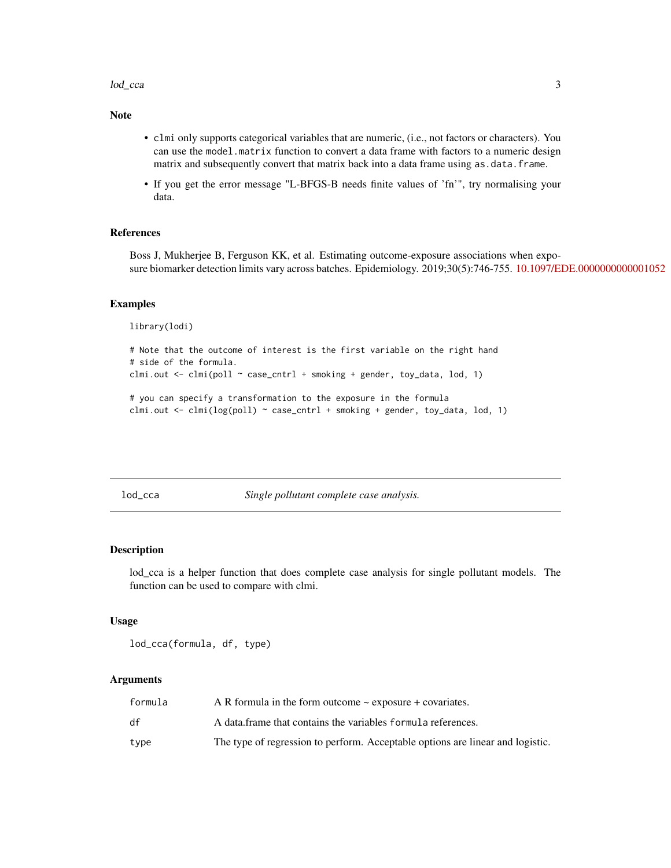#### <span id="page-2-0"></span>lod\_cca 3

#### Note

- clmi only supports categorical variables that are numeric, (i.e., not factors or characters). You can use the model.matrix function to convert a data frame with factors to a numeric design matrix and subsequently convert that matrix back into a data frame using as  $data$ . frame.
- If you get the error message "L-BFGS-B needs finite values of 'fn'", try normalising your data.

#### References

Boss J, Mukherjee B, Ferguson KK, et al. Estimating outcome-exposure associations when exposure biomarker detection limits vary across batches. Epidemiology. 2019;30(5):746-755. [10.1097/EDE.0000000000001052](https://doi.org/10.1097/EDE.0000000000001052)

#### Examples

library(lodi)

```
# Note that the outcome of interest is the first variable on the right hand
# side of the formula.
clmi.out <- clmi(poll ~ case_cntrl + smoking + gender, toy_data, lod, 1)
# you can specify a transformation to the exposure in the formula
```
clmi.out  $\le$  clmi(log(poll)  $\sim$  case\_cntrl + smoking + gender, toy\_data, lod, 1)

lod\_cca *Single pollutant complete case analysis.*

#### Description

lod\_cca is a helper function that does complete case analysis for single pollutant models. The function can be used to compare with clmi.

#### Usage

lod\_cca(formula, df, type)

#### Arguments

| formula | A R formula in the form outcome $\sim$ exposure + covariates.                  |
|---------|--------------------------------------------------------------------------------|
| df      | A data frame that contains the variables formula references.                   |
| type    | The type of regression to perform. Acceptable options are linear and logistic. |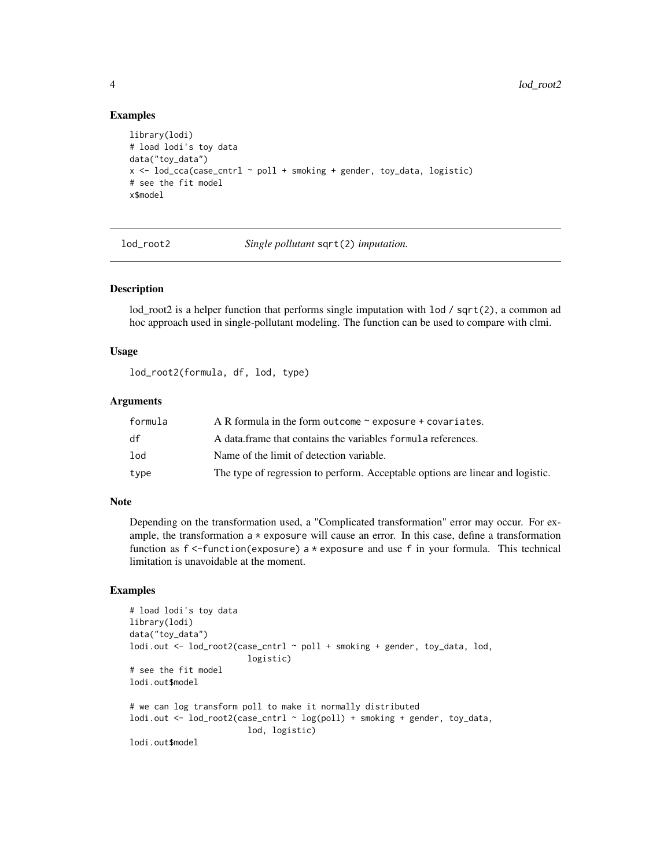#### Examples

```
library(lodi)
# load lodi's toy data
data("toy_data")
x \le lod_cca(case_cntrl \sim poll + smoking + gender, toy_data, logistic)
# see the fit model
x$model
```
lod\_root2 *Single pollutant* sqrt(2) *imputation.*

#### Description

lod\_root2 is a helper function that performs single imputation with  $\text{lod }$  / sqrt(2), a common ad hoc approach used in single-pollutant modeling. The function can be used to compare with clmi.

#### Usage

lod\_root2(formula, df, lod, type)

#### Arguments

| formula           | A R formula in the form outcome $\sim$ exposure + covariates.                  |
|-------------------|--------------------------------------------------------------------------------|
| df                | A data frame that contains the variables formula references.                   |
| $_{\textrm{lod}}$ | Name of the limit of detection variable.                                       |
| type              | The type of regression to perform. Acceptable options are linear and logistic. |

#### Note

Depending on the transformation used, a "Complicated transformation" error may occur. For example, the transformation  $a \times e$  xposure will cause an error. In this case, define a transformation function as f <-function(exposure) a \* exposure and use f in your formula. This technical limitation is unavoidable at the moment.

#### Examples

```
# load lodi's toy data
library(lodi)
data("toy_data")
lodi.out <- lod_root2(case_cntrl ~ poll + smoking + gender, toy_data, lod,
                        logistic)
# see the fit model
lodi.out$model
# we can log transform poll to make it normally distributed
lodi.out <- lod_root2(case_cntrl ~ log(poll) + smoking + gender, toy_data,
                        lod, logistic)
lodi.out$model
```
<span id="page-3-0"></span>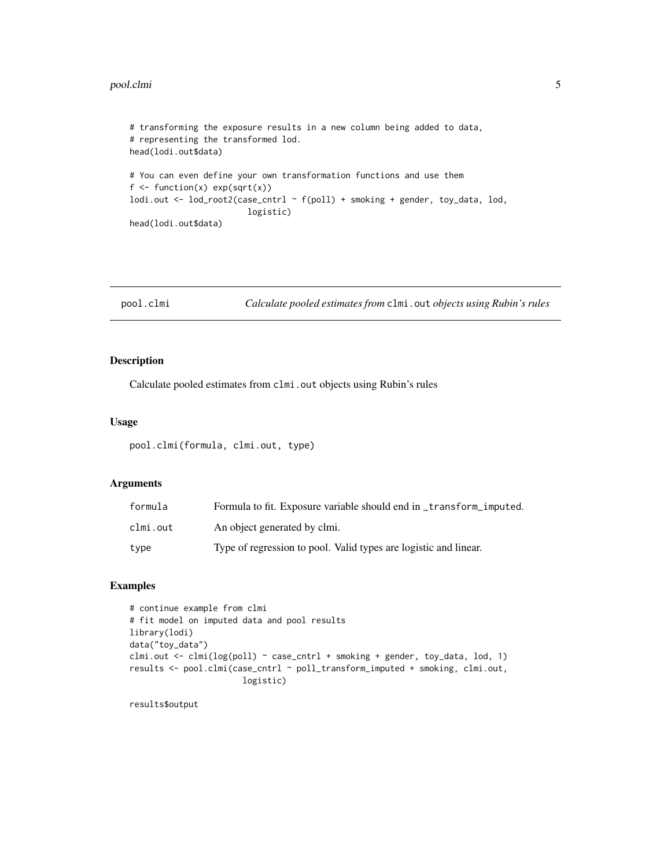#### <span id="page-4-0"></span>pool.clmi 5

```
# transforming the exposure results in a new column being added to data,
# representing the transformed lod.
head(lodi.out$data)
# You can even define your own transformation functions and use them
f \leftarrow function(x) exp(sqrt(x))lodi.out <- lod_root2(case_cntrl ~ f(poll) + smoking + gender, toy_data, lod,
                        logistic)
head(lodi.out$data)
```

```
pool.clmi Calculate pooled estimates from clmi.out objects using Rubin's rules
```
#### Description

Calculate pooled estimates from clmi.out objects using Rubin's rules

#### Usage

pool.clmi(formula, clmi.out, type)

#### Arguments

| formula  | Formula to fit. Exposure variable should end in _transform_imputed. |
|----------|---------------------------------------------------------------------|
| clmi.out | An object generated by clmi.                                        |
| type     | Type of regression to pool. Valid types are logistic and linear.    |

#### Examples

```
# continue example from clmi
# fit model on imputed data and pool results
library(lodi)
data("toy_data")
clmi.out \le clmi(log(poll) \le case_cntrl + smoking + gender, toy_data, lod, 1)
results <- pool.clmi(case_cntrl ~ poll_transform_imputed + smoking, clmi.out,
                       logistic)
```
results\$output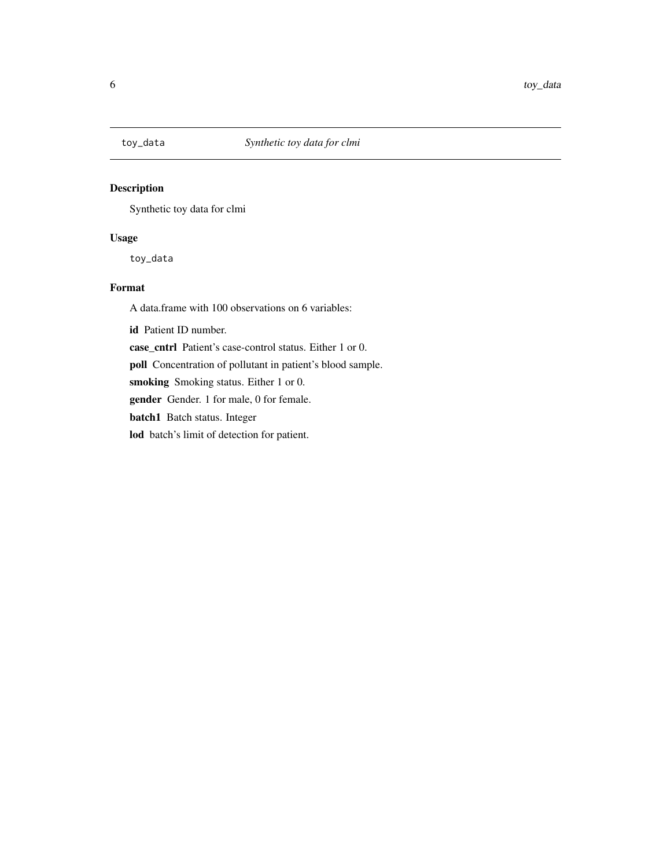<span id="page-5-0"></span>

#### Description

Synthetic toy data for clmi

#### Usage

toy\_data

#### Format

A data.frame with 100 observations on 6 variables:

id Patient ID number.

case\_cntrl Patient's case-control status. Either 1 or 0.

poll Concentration of pollutant in patient's blood sample.

smoking Smoking status. Either 1 or 0.

gender Gender. 1 for male, 0 for female.

batch1 Batch status. Integer

lod batch's limit of detection for patient.